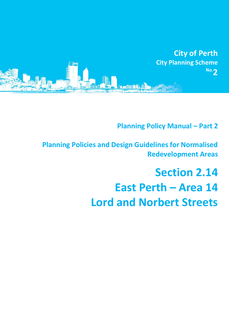

**Planning Policy Manual - Part 2** 

**Planning Policies and Design Guidelines for Normalised Redevelopment Areas**

# **Section 2.14 East Perth – Area 14 Lord and Norbert Streets**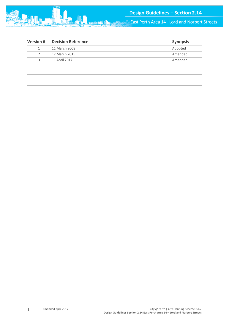

East Perth Area 14– Lord and Norbert Streets

| <b>Version#</b> | <b>Decision Reference</b> | <b>Synopsis</b> |
|-----------------|---------------------------|-----------------|
|                 | 11 March 2008             | Adopted         |
| 2               | 17 March 2015             | Amended         |
| 3               | 11 April 2017             | Amended         |
|                 |                           |                 |
|                 |                           |                 |
|                 |                           |                 |
|                 |                           |                 |
|                 |                           |                 |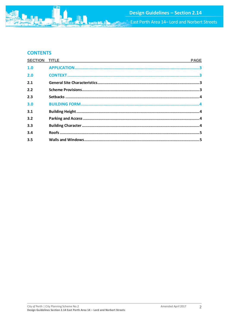

# **CONTENTS**

| <b>SECTION TITLE</b> | <b>PAGE</b> |
|----------------------|-------------|
| 1.0                  |             |
| 2.0                  |             |
| 2.1                  |             |
| 2.2                  |             |
| 2.3                  |             |
| 3.0                  |             |
| 3.1                  |             |
| 3.2                  |             |
| 3.3                  |             |
| 3.4                  |             |
| 3.5                  |             |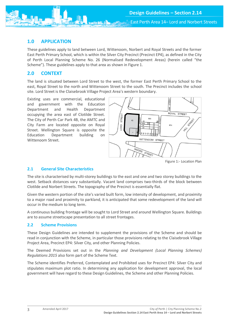East Perth Area 14– Lord and Norbert Streets

# <span id="page-3-0"></span>**1.0 APPLICATION**

These guidelines apply to land between Lord, Wittenoom, Norbert and Royal Streets and the former East Perth Primary School, which is within the Silver City Precinct (Precinct EP4), as defined in the City of Perth Local Planning Scheme No. 26 (Normalised Redevelopment Areas) (herein called "the Scheme"). These guidelines apply to that area as shown in Figure 1.

# <span id="page-3-1"></span>**2.0 CONTEXT**

The land is situated between Lord Street to the west, the former East Perth Primary School to the east, Royal Street to the north and Wittenoom Street to the south. The Precinct includes the school site. Lord Street is the Claisebrook Village Project Area's western boundary.

Existing uses are commercial, educational and government with the Education Department and Health Department occupying the area east of Clotilde Street. The City of Perth Car Park 4B, the AMTC and City Farm are located opposite on Royal Street. Wellington Square is opposite the Education Department building on Wittenoom Street.



Figure 1:- Location Plan

## <span id="page-3-2"></span>**2.1 General Site Characteristics**

The site is characterised by multi-storey buildings to the east and one and two storey buildings to the west. Setback distances vary substantially. Vacant land comprises two-thirds of the block between Clotilde and Norbert Streets. The topography of the Precinct is essentially flat.

Given the western portion of the site's varied built form, low intensity of development, and proximity to a major road and proximity to parkland, it is anticipated that some redevelopment of the land will occur in the medium to long term.

A continuous building frontage will be sought to Lord Street and around Wellington Square. Buildings are to assume streetscape presentation to all street frontages.

## <span id="page-3-3"></span>**2.2 Scheme Provisions**

These Design Guidelines are intended to supplement the provisions of the Scheme and should be read in conjunction with the Scheme, in particular those provisions relating to the Claisebrook Village Project Area, Precinct EP4: Silver City, and other Planning Policies.

The Deemed Provisions set out in the *Planning and Development (Local Planning Schemes) Regulations 2015* also form part of the Scheme Text.

The Scheme identifies Preferred, Contemplated and Prohibited uses for Precinct EP4: Silver City and stipulates maximum plot ratio. In determining any application for development approval, the local government will have regard to these Design Guidelines, the Scheme and other Planning Policies.

3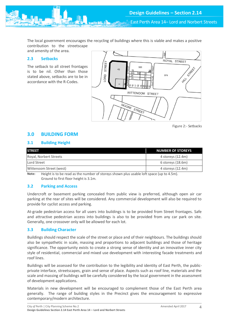East Perth Area 14– Lord and Norbert Streets

The local government encourages the recycling of buildings where this is viable and makes a positive contribution to the streetscape

and amenity of the area.

## <span id="page-4-0"></span>**2.3 Setbacks**

The setback to all street frontages is to be nil. Other than those stated above, setbacks are to be in accordance with the R-Codes.



Figure 2:- Setbacks

## <span id="page-4-1"></span>**3.0 BUILDING FORM**

## <span id="page-4-2"></span>**3.1 Building Height**

| <b>STREET</b>           | <b>NUMBER OF STOREYS</b> |
|-------------------------|--------------------------|
| Royal, Norbert Streets  | 4 storeys (12.4m)        |
| Lord Street             | $6$ storeys $(18.6m)$    |
| Wittenoom Street (west) | 4 storeys (12.4m)        |

**Note:** Height is to be read as the number of storeys shown plus usable loft space (up to 4.5m). Ground to first floor height is 3.1m.

## <span id="page-4-3"></span>**3.2 Parking and Access**

Undercroft or basement parking concealed from public view is preferred, although open air car parking at the rear of sites will be considered. Any commercial development will also be required to provide for cyclist access and parking.

At-grade pedestrian access for all users into buildings is to be provided from Street frontages. Safe and attractive pedestrian access into buildings is also to be provided from any car park on site. Generally, one crossover only will be allowed for each lot.

## <span id="page-4-4"></span>**3.3 Building Character**

Buildings should respect the scale of the street or place and of their neighbours. The buildings should also be sympathetic in scale, massing and proportions to adjacent buildings and those of heritage significance. The opportunity exists to create a strong sense of identity and an innovative inner city style of residential, commercial and mixed use development with interesting facade treatments and roof lines.

Buildings will be assessed for the contribution to the legibility and identity of East Perth, the publicprivate interface, streetscapes, grain and sense of place. Aspects such as roof line, materials and the scale and massing of buildings will be carefully considered by the local government in the assessment of development applications.

Materials in new development will be encouraged to complement those of the East Perth area generally. The range of building styles in the Precinct gives the encouragement to expressive contemporary/modern architecture.